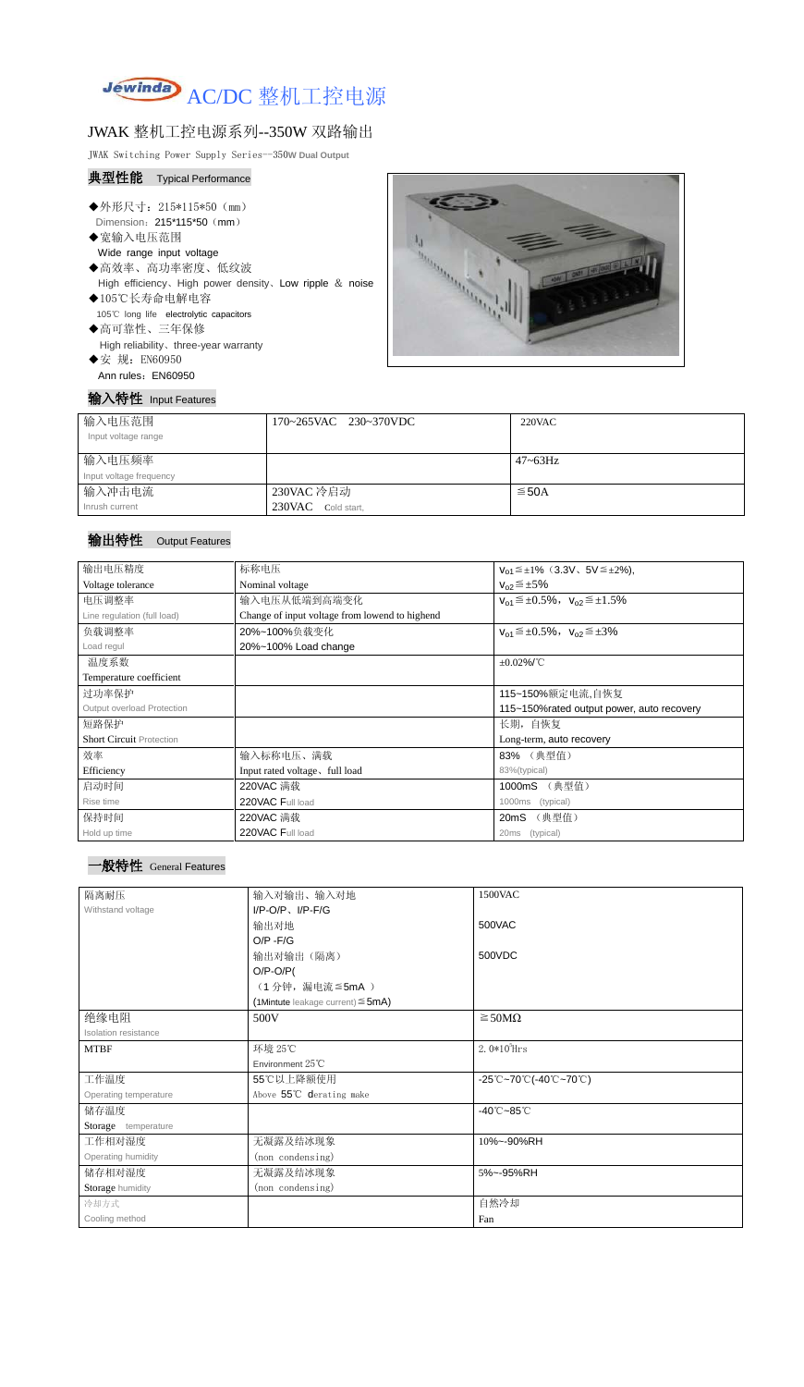

### JWAK 整机工控电源系列--350W 双路输出

JWAK Switching Power Supply Series--350**W Dual Output**

#### 典型性能 Typical Performance

- ◆外形尺寸: 215\*115\*50 (mm) Dimension: 215\*115\*50 (mm)
- ◆宽输入电压范围 Wide range input voltage
- ◆高效率、高功率密度、低纹波 High efficiency、High power density、Low ripple & noise
- ◆105℃长寿命电解电容 105℃ long life electrolytic capacitors ◆高可靠性、三年保修
- High reliability、three-year warranty
- ◆安 规: EN60950 Ann rules: EN60950



| 输入特性 Input Features |
|---------------------|

| 输入电压范围<br>Input voltage range | 170~265VAC 230~370VDC | $220$ VAC    |
|-------------------------------|-----------------------|--------------|
|                               |                       |              |
| 输入电压频率                        |                       | $47 - 63$ Hz |
| Input voltage frequency       |                       |              |
| 输入冲击电流                        | 230VAC 冷启动            | $\leq$ 50A   |
| Inrush current                | 230VAC Cold start,    |              |

### 输出特性 Output Features

# 一般特性 General Features

| 输出电压精度                          | 标称电压                                           | $V_{01} \leq \pm 1\%$ (3.3V, 5V $\leq \pm 2\%$ ), |  |
|---------------------------------|------------------------------------------------|---------------------------------------------------|--|
| Voltage tolerance               | Nominal voltage                                | $V_{02} \leq \pm 5\%$                             |  |
| 电压调整率                           | 输入电压从低端到高端变化                                   | $V_{01} \leq \pm 0.5\%$ , $V_{02} \leq \pm 1.5\%$ |  |
| Line regulation (full load)     | Change of input voltage from lowend to highend |                                                   |  |
| 负载调整率                           | 20%~100%负载变化                                   | $V_{01} \leq \pm 0.5\%$ , $V_{02} \leq \pm 3\%$   |  |
| Load regul                      | 20%~100% Load change                           |                                                   |  |
| 温度系数                            | $\pm 0.02\%$ /°C                               |                                                   |  |
| Temperature coefficient         |                                                |                                                   |  |
| 过功率保护                           | 115~150%额定电流,自恢复                               |                                                   |  |
| Output overload Protection      | 115~150% rated output power, auto recovery     |                                                   |  |
| 短路保护                            |                                                | 长期, 自恢复                                           |  |
| <b>Short Circuit Protection</b> |                                                | Long-term, auto recovery                          |  |
| 效率                              | 输入标称电压、满载                                      | 83% (典型值)                                         |  |
| Efficiency                      | Input rated voltage, full load                 | 83%(typical)                                      |  |
| 启动时间                            | 220VAC 满载                                      | (典型值)<br>1000mS                                   |  |
| Rise time                       | 220VAC Full load                               | 1000ms<br>(typical)                               |  |
| 保持时间                            | 220VAC 满载                                      | (典型值)<br>20mS                                     |  |
| Hold up time                    | 220VAC Full load                               | (typical)<br>20 <sub>ms</sub>                     |  |

| 隔离耐压                        | 输入对输出、输入对地                                | 1500VAC                                                                               |  |
|-----------------------------|-------------------------------------------|---------------------------------------------------------------------------------------|--|
| Withstand voltage           | $I/P-O/P$ , $I/P-F/G$                     |                                                                                       |  |
|                             | 输出对地                                      | 500VAC                                                                                |  |
|                             | $O/P - F/G$                               |                                                                                       |  |
|                             | 输出对输出(隔离)                                 | 500VDC                                                                                |  |
|                             | $O/P-O/P($                                |                                                                                       |  |
|                             | (1分钟,漏电流≦5mA)                             |                                                                                       |  |
|                             | $(1$ Mintute leakage current) $\leq$ 5mA) |                                                                                       |  |
| 绝缘电阻                        | 500V                                      | $\geq$ 50M $\Omega$                                                                   |  |
| <b>Isolation resistance</b> |                                           |                                                                                       |  |
| <b>MTBF</b>                 | 环境 25℃                                    | $2.0*105$ Hrs                                                                         |  |
|                             | Environment 25°C                          |                                                                                       |  |
| 工作温度                        | 55℃以上降额使用                                 | $-25^{\circ}\text{C}-70^{\circ}\text{C}$ (-40 $^{\circ}\text{C}-70^{\circ}\text{C}$ ) |  |
| Operating temperature       | Above 55℃ derating make                   |                                                                                       |  |
| 储存温度                        |                                           | $-40^{\circ}$ C $-85^{\circ}$ C                                                       |  |
| Storage temperature         |                                           |                                                                                       |  |
| 工作相对湿度                      | 无凝露及结冰现象                                  | 10%~-90%RH                                                                            |  |
| Operating humidity          | (non condensing)                          |                                                                                       |  |
| 储存相对湿度                      | 无凝露及结冰现象                                  | 5%~-95%RH                                                                             |  |
| Storage humidity            | (non condensing)                          |                                                                                       |  |
| 冷却方式                        |                                           | 自然冷却                                                                                  |  |
| Cooling method              |                                           | Fan                                                                                   |  |